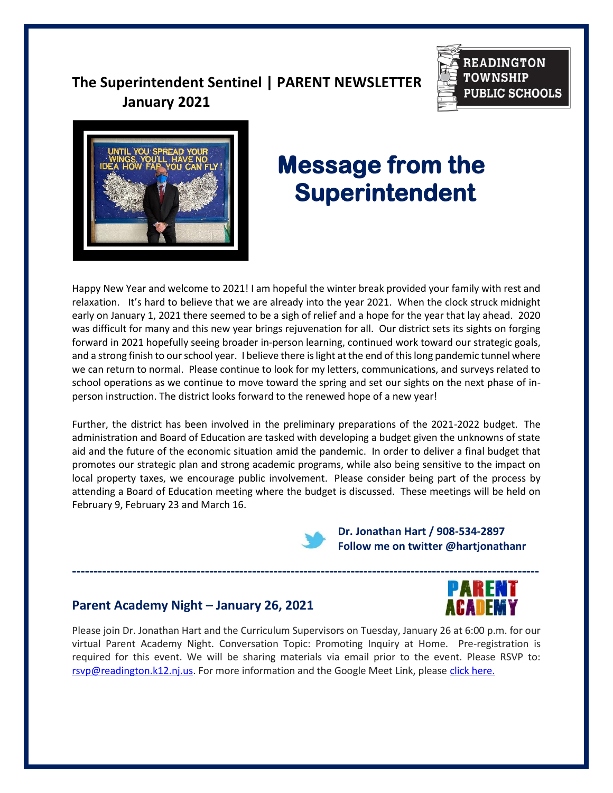# **The Superintendent Sentinel | PARENT NEWSLETTER January 2021**





# **Message from the Superintendent**

Happy New Year and welcome to 2021! I am hopeful the winter break provided your family with rest and relaxation. It's hard to believe that we are already into the year 2021. When the clock struck midnight early on January 1, 2021 there seemed to be a sigh of relief and a hope for the year that lay ahead. 2020 was difficult for many and this new year brings rejuvenation for all. Our district sets its sights on forging forward in 2021 hopefully seeing broader in-person learning, continued work toward our strategic goals, and a strong finish to our school year. I believe there is light at the end of this long pandemic tunnel where we can return to normal. Please continue to look for my letters, communications, and surveys related to school operations as we continue to move toward the spring and set our sights on the next phase of inperson instruction. The district looks forward to the renewed hope of a new year!

Further, the district has been involved in the preliminary preparations of the 2021-2022 budget. The administration and Board of Education are tasked with developing a budget given the unknowns of state aid and the future of the economic situation amid the pandemic. In order to deliver a final budget that promotes our strategic plan and strong academic programs, while also being sensitive to the impact on local property taxes, we encourage public involvement. Please consider being part of the process by attending a Board of Education meeting where the budget is discussed. These meetings will be held on February 9, February 23 and March 16.



**-------------------------------------------------------------------------------------------------------------**

 **Dr. Jonathan Hart / 908-534-2897 Follow me on twitter @hartjonathanr** 

## **Parent Academy Night – January 26, 2021**

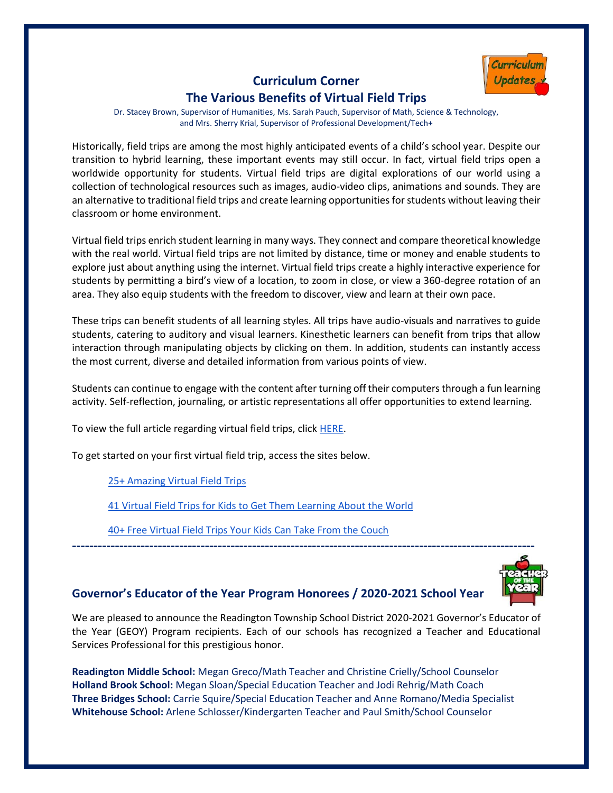

## **Curriculum Corner The Various Benefits of Virtual Field Trips**

Dr. Stacey Brown, Supervisor of Humanities, Ms. Sarah Pauch, Supervisor of Math, Science & Technology, and Mrs. Sherry Krial, Supervisor of Professional Development/Tech+

Historically, field trips are among the most highly anticipated events of a child's school year. Despite our transition to hybrid learning, these important events may still occur. In fact, virtual field trips open a worldwide opportunity for students. Virtual field trips are digital explorations of our world using a collection of technological resources such as images, audio-video clips, animations and sounds. They are an alternative to traditional field trips and create learning opportunities for students without leaving their classroom or home environment.

Virtual field trips enrich student learning in many ways. They connect and compare theoretical knowledge with the real world. Virtual field trips are not limited by distance, time or money and enable students to explore just about anything using the internet. Virtual field trips create a highly interactive experience for students by permitting a bird's view of a location, to zoom in close, or view a 360-degree rotation of an area. They also equip students with the freedom to discover, view and learn at their own pace.

These trips can benefit students of all learning styles. All trips have audio-visuals and narratives to guide students, catering to auditory and visual learners. Kinesthetic learners can benefit from trips that allow interaction through manipulating objects by clicking on them. In addition, students can instantly access the most current, diverse and detailed information from various points of view.

Students can continue to engage with the content after turning off their computers through a fun learning activity. Self-reflection, journaling, or artistic representations all offer opportunities to extend learning.

To view the full article regarding virtual field trips, click [HERE.](https://k12teacherstaffdevelopment.com/tlb/enriching-learning-through-virtual-field-trips/)

To get started on your first virtual field trip, access the sites below.

[25+ Amazing Virtual Field Trips](https://www.weareteachers.com/best-virtual-field-trips/)

[41 Virtual Field Trips for Kids to Get Them Learning About the World](https://www.goodhousekeeping.com/life/parenting/a32403098/virtual-field-trips-for-kids/)

[40+ Free Virtual Field Trips Your Kids Can Take From the Couch](https://kidsactivitiesblog.com/135714/virtual-field-trips/)

## **Governor's Educator of the Year Program Honorees / 2020-2021 School Year**

We are pleased to announce the Readington Township School District 2020-2021 Governor's Educator of the Year (GEOY) Program recipients. Each of our schools has recognized a Teacher and Educational Services Professional for this prestigious honor.

**------------------------------------------------------------------------------------------------------------**

**Readington Middle School:** Megan Greco/Math Teacher and Christine Crielly/School Counselor **Holland Brook School:** Megan Sloan/Special Education Teacher and Jodi Rehrig/Math Coach **Three Bridges School:** Carrie Squire/Special Education Teacher and Anne Romano/Media Specialist **Whitehouse School:** Arlene Schlosser/Kindergarten Teacher and Paul Smith/School Counselor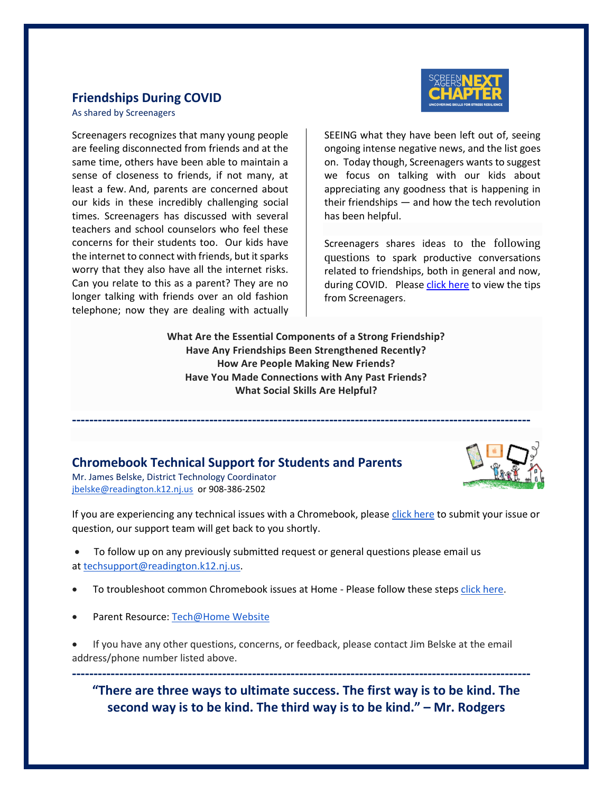#### **Friendships During COVID**

As shared by Screenagers

Screenagers recognizes that many young people are feeling disconnected from friends and at the same time, others have been able to maintain a sense of closeness to friends, if not many, at least a few. And, parents are concerned about our kids in these incredibly challenging social times. Screenagers has discussed with several teachers and school counselors who feel these concerns for their students too. Our kids have the internet to connect with friends, but it sparks worry that they also have all the internet risks. Can you relate to this as a parent? They are no longer talking with friends over an old fashion telephone; now they are dealing with actually



SEEING what they have been left out of, seeing ongoing intense negative news, and the list goes on. Today though, Screenagers wants to suggest we focus on talking with our kids about appreciating any goodness that is happening in their friendships — and how the tech revolution has been helpful.

Screenagers shares ideas to the following questions to spark productive conversations related to friendships, both in general and now, during COVID. Please [click here](https://www.screenagersmovie.com/tech-talk-tuesdays/friendships-during-covid?mc_cid=50718136bf&mc_eid=adc82278d1) to view the tips from Screenagers.

**What Are the Essential Components of a Strong Friendship? Have Any Friendships Been Strengthened Recently? How Are People Making New Friends? Have You Made Connections with Any Past Friends? What Social Skills Are Helpful?**

**-----------------------------------------------------------------------------------------------------------**

## **Chromebook Technical Support for Students and Parents**



Mr. James Belske, District Technology Coordinator [jbelske@readington.k12.nj.us](mailto:jbelske@readington.k12.nj.us) or 908-386-2502

If you are experiencing any technical issues with a Chromebook, please [click here](http://www.readington.k12.nj.us/techrequest) to submit your issue or question, our support team will get back to you shortly.

- To follow up on any previously submitted request or general questions please email us at [techsupport@readington.k12.nj.us.](mailto:techsupport@readington.k12.nj.us)
- To troubleshoot common Chromebook issues at Home Please follow these steps [click here.](https://docs.google.com/document/d/1iQIM1lqdRHTRLrVw1tq2nSdKuVkmJFTTNDrxyf7e-h8/edit)
- Parent Resource: [Tech@Home Website](https://sites.google.com/readington.k12.nj.us/techathome/home)
- If you have any other questions, concerns, or feedback, please contact Jim Belske at the email address/phone number listed above.

**----------------------------------------------------------------------------------------------------------- "There are three ways to ultimate success. The first way is to be kind. The second way is to be kind. The third way is to be kind." – Mr. Rodgers**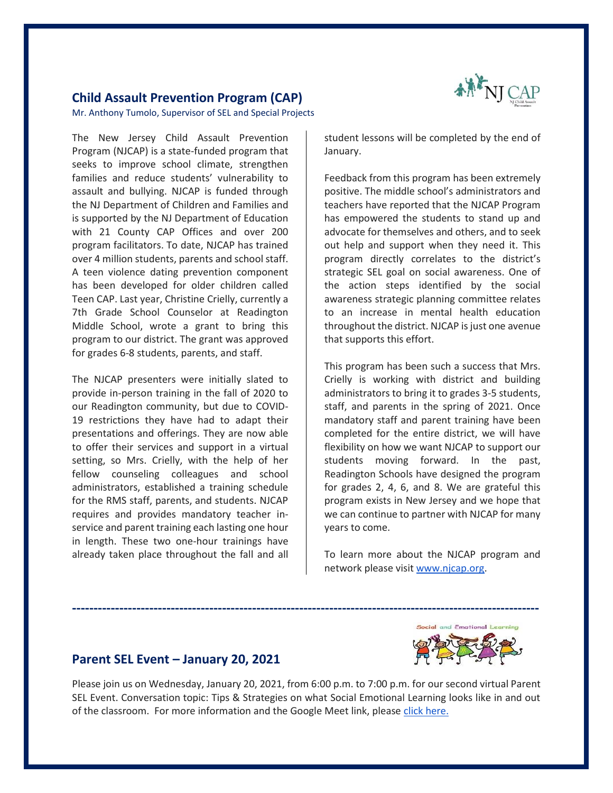

#### **Child Assault Prevention Program (CAP)**

Mr. Anthony Tumolo, Supervisor of SEL and Special Projects

The New Jersey Child Assault Prevention Program (NJCAP) is a state-funded program that seeks to improve school climate, strengthen families and reduce students' vulnerability to assault and bullying. NJCAP is funded through the NJ Department of Children and Families and is supported by the NJ Department of Education with 21 County CAP Offices and over 200 program facilitators. To date, NJCAP has trained over 4 million students, parents and school staff. A teen violence dating prevention component has been developed for older children called Teen CAP. Last year, Christine Crielly, currently a 7th Grade School Counselor at Readington Middle School, wrote a grant to bring this program to our district. The grant was approved for grades 6-8 students, parents, and staff.

The NJCAP presenters were initially slated to provide in-person training in the fall of 2020 to our Readington community, but due to COVID-19 restrictions they have had to adapt their presentations and offerings. They are now able to offer their services and support in a virtual setting, so Mrs. Crielly, with the help of her fellow counseling colleagues and school administrators, established a training schedule for the RMS staff, parents, and students. NJCAP requires and provides mandatory teacher inservice and parent training each lasting one hour in length. These two one-hour trainings have already taken place throughout the fall and all student lessons will be completed by the end of January.

Feedback from this program has been extremely positive. The middle school's administrators and teachers have reported that the NJCAP Program has empowered the students to stand up and advocate for themselves and others, and to seek out help and support when they need it. This program directly correlates to the district's strategic SEL goal on social awareness. One of the action steps identified by the social awareness strategic planning committee relates to an increase in mental health education throughout the district. NJCAP is just one avenue that supports this effort.

This program has been such a success that Mrs. Crielly is working with district and building administrators to bring it to grades 3-5 students, staff, and parents in the spring of 2021. Once mandatory staff and parent training have been completed for the entire district, we will have flexibility on how we want NJCAP to support our students moving forward. In the past, Readington Schools have designed the program for grades 2, 4, 6, and 8. We are grateful this program exists in New Jersey and we hope that we can continue to partner with NJCAP for many years to come.

To learn more about the NJCAP program and network please visi[t www.njcap.org.](http://www.njcap.org/)



#### **Parent SEL Event – January 20, 2021**

Please join us on Wednesday, January 20, 2021, from 6:00 p.m. to 7:00 p.m. for our second virtual Parent SEL Event. Conversation topic: Tips & Strategies on what Social Emotional Learning looks like in and out of the classroom. For more information and the Google Meet link, please [click here.](https://www.readington.k12.nj.us/Page/7063)

**-------------------------------------------------------------------------------------------------------------**